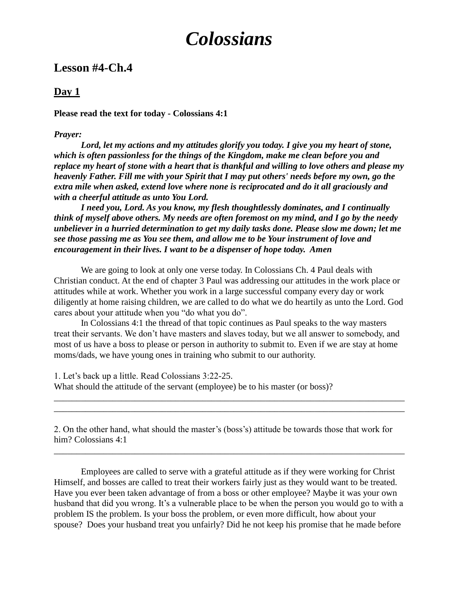# *Colossians*

# **Lesson #4-Ch.4**

## **Day 1**

#### **Please read the text for today - Colossians 4:1**

#### *Prayer:*

*Lord, let my actions and my attitudes glorify you today. I give you my heart of stone, which is often passionless for the things of the Kingdom, make me clean before you and replace my heart of stone with a heart that is thankful and willing to love others and please my heavenly Father. Fill me with your Spirit that I may put others' needs before my own, go the extra mile when asked, extend love where none is reciprocated and do it all graciously and with a cheerful attitude as unto You Lord.*

*I need you, Lord. As you know, my flesh thoughtlessly dominates, and I continually think of myself above others. My needs are often foremost on my mind, and I go by the needy unbeliever in a hurried determination to get my daily tasks done. Please slow me down; let me see those passing me as You see them, and allow me to be Your instrument of love and encouragement in their lives. I want to be a dispenser of hope today. Amen*

We are going to look at only one verse today. In Colossians Ch. 4 Paul deals with Christian conduct. At the end of chapter 3 Paul was addressing our attitudes in the work place or attitudes while at work. Whether you work in a large successful company every day or work diligently at home raising children, we are called to do what we do heartily as unto the Lord. God cares about your attitude when you "do what you do".

In Colossians 4:1 the thread of that topic continues as Paul speaks to the way masters treat their servants. We don't have masters and slaves today, but we all answer to somebody, and most of us have a boss to please or person in authority to submit to. Even if we are stay at home moms/dads, we have young ones in training who submit to our authority.

1. Let's back up a little. Read Colossians 3:22-25. What should the attitude of the servant (employee) be to his master (or boss)?

2. On the other hand, what should the master's (boss's) attitude be towards those that work for him? Colossians 4:1

\_\_\_\_\_\_\_\_\_\_\_\_\_\_\_\_\_\_\_\_\_\_\_\_\_\_\_\_\_\_\_\_\_\_\_\_\_\_\_\_\_\_\_\_\_\_\_\_\_\_\_\_\_\_\_\_\_\_\_\_\_\_\_\_\_\_\_\_\_\_\_\_\_\_\_\_\_\_

\_\_\_\_\_\_\_\_\_\_\_\_\_\_\_\_\_\_\_\_\_\_\_\_\_\_\_\_\_\_\_\_\_\_\_\_\_\_\_\_\_\_\_\_\_\_\_\_\_\_\_\_\_\_\_\_\_\_\_\_\_\_\_\_\_\_\_\_\_\_\_\_\_\_\_\_\_\_ \_\_\_\_\_\_\_\_\_\_\_\_\_\_\_\_\_\_\_\_\_\_\_\_\_\_\_\_\_\_\_\_\_\_\_\_\_\_\_\_\_\_\_\_\_\_\_\_\_\_\_\_\_\_\_\_\_\_\_\_\_\_\_\_\_\_\_\_\_\_\_\_\_\_\_\_\_\_

Employees are called to serve with a grateful attitude as if they were working for Christ Himself, and bosses are called to treat their workers fairly just as they would want to be treated. Have you ever been taken advantage of from a boss or other employee? Maybe it was your own husband that did you wrong. It's a vulnerable place to be when the person you would go to with a problem IS the problem. Is your boss the problem, or even more difficult, how about your spouse? Does your husband treat you unfairly? Did he not keep his promise that he made before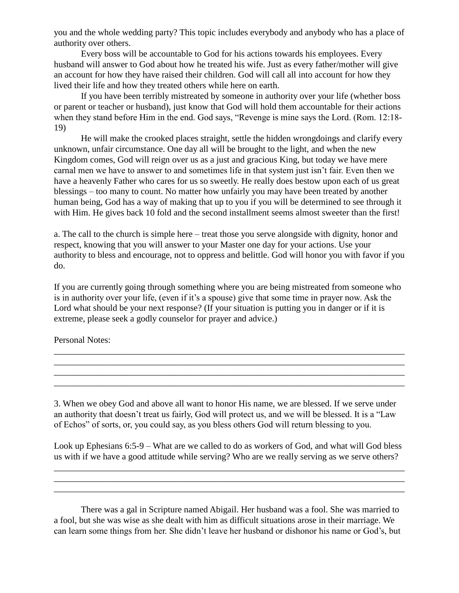you and the whole wedding party? This topic includes everybody and anybody who has a place of authority over others.

Every boss will be accountable to God for his actions towards his employees. Every husband will answer to God about how he treated his wife. Just as every father/mother will give an account for how they have raised their children. God will call all into account for how they lived their life and how they treated others while here on earth.

If you have been terribly mistreated by someone in authority over your life (whether boss or parent or teacher or husband), just know that God will hold them accountable for their actions when they stand before Him in the end. God says, "Revenge is mine says the Lord. (Rom. 12:18- 19)

He will make the crooked places straight, settle the hidden wrongdoings and clarify every unknown, unfair circumstance. One day all will be brought to the light, and when the new Kingdom comes, God will reign over us as a just and gracious King, but today we have mere carnal men we have to answer to and sometimes life in that system just isn't fair. Even then we have a heavenly Father who cares for us so sweetly. He really does bestow upon each of us great blessings – too many to count. No matter how unfairly you may have been treated by another human being, God has a way of making that up to you if you will be determined to see through it with Him. He gives back 10 fold and the second installment seems almost sweeter than the first!

a. The call to the church is simple here – treat those you serve alongside with dignity, honor and respect, knowing that you will answer to your Master one day for your actions. Use your authority to bless and encourage, not to oppress and belittle. God will honor you with favor if you do.

If you are currently going through something where you are being mistreated from someone who is in authority over your life, (even if it's a spouse) give that some time in prayer now. Ask the Lord what should be your next response? (If your situation is putting you in danger or if it is extreme, please seek a godly counselor for prayer and advice.)

\_\_\_\_\_\_\_\_\_\_\_\_\_\_\_\_\_\_\_\_\_\_\_\_\_\_\_\_\_\_\_\_\_\_\_\_\_\_\_\_\_\_\_\_\_\_\_\_\_\_\_\_\_\_\_\_\_\_\_\_\_\_\_\_\_\_\_\_\_\_\_\_\_\_\_\_\_\_ \_\_\_\_\_\_\_\_\_\_\_\_\_\_\_\_\_\_\_\_\_\_\_\_\_\_\_\_\_\_\_\_\_\_\_\_\_\_\_\_\_\_\_\_\_\_\_\_\_\_\_\_\_\_\_\_\_\_\_\_\_\_\_\_\_\_\_\_\_\_\_\_\_\_\_\_\_\_ \_\_\_\_\_\_\_\_\_\_\_\_\_\_\_\_\_\_\_\_\_\_\_\_\_\_\_\_\_\_\_\_\_\_\_\_\_\_\_\_\_\_\_\_\_\_\_\_\_\_\_\_\_\_\_\_\_\_\_\_\_\_\_\_\_\_\_\_\_\_\_\_\_\_\_\_\_\_ \_\_\_\_\_\_\_\_\_\_\_\_\_\_\_\_\_\_\_\_\_\_\_\_\_\_\_\_\_\_\_\_\_\_\_\_\_\_\_\_\_\_\_\_\_\_\_\_\_\_\_\_\_\_\_\_\_\_\_\_\_\_\_\_\_\_\_\_\_\_\_\_\_\_\_\_\_\_

Personal Notes:

3. When we obey God and above all want to honor His name, we are blessed. If we serve under an authority that doesn't treat us fairly, God will protect us, and we will be blessed. It is a "Law of Echos" of sorts, or, you could say, as you bless others God will return blessing to you.

Look up Ephesians 6:5-9 – What are we called to do as workers of God, and what will God bless us with if we have a good attitude while serving? Who are we really serving as we serve others?

\_\_\_\_\_\_\_\_\_\_\_\_\_\_\_\_\_\_\_\_\_\_\_\_\_\_\_\_\_\_\_\_\_\_\_\_\_\_\_\_\_\_\_\_\_\_\_\_\_\_\_\_\_\_\_\_\_\_\_\_\_\_\_\_\_\_\_\_\_\_\_\_\_\_\_\_\_\_ \_\_\_\_\_\_\_\_\_\_\_\_\_\_\_\_\_\_\_\_\_\_\_\_\_\_\_\_\_\_\_\_\_\_\_\_\_\_\_\_\_\_\_\_\_\_\_\_\_\_\_\_\_\_\_\_\_\_\_\_\_\_\_\_\_\_\_\_\_\_\_\_\_\_\_\_\_\_ \_\_\_\_\_\_\_\_\_\_\_\_\_\_\_\_\_\_\_\_\_\_\_\_\_\_\_\_\_\_\_\_\_\_\_\_\_\_\_\_\_\_\_\_\_\_\_\_\_\_\_\_\_\_\_\_\_\_\_\_\_\_\_\_\_\_\_\_\_\_\_\_\_\_\_\_\_\_

There was a gal in Scripture named Abigail. Her husband was a fool. She was married to a fool, but she was wise as she dealt with him as difficult situations arose in their marriage. We can learn some things from her. She didn't leave her husband or dishonor his name or God's, but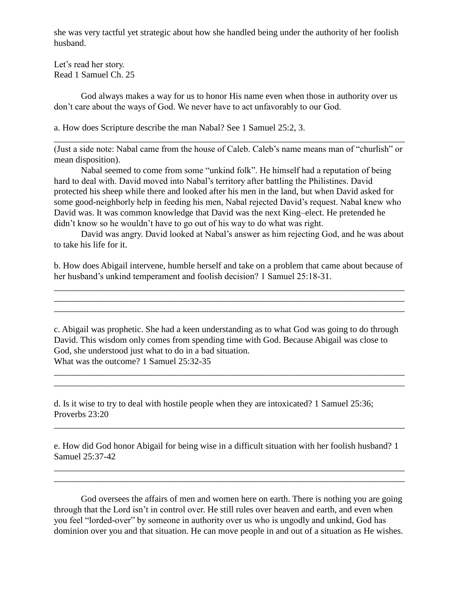she was very tactful yet strategic about how she handled being under the authority of her foolish husband.

Let's read her story. Read 1 Samuel Ch. 25

God always makes a way for us to honor His name even when those in authority over us don't care about the ways of God. We never have to act unfavorably to our God.

a. How does Scripture describe the man Nabal? See 1 Samuel 25:2, 3.

(Just a side note: Nabal came from the house of Caleb. Caleb's name means man of "churlish" or mean disposition).

\_\_\_\_\_\_\_\_\_\_\_\_\_\_\_\_\_\_\_\_\_\_\_\_\_\_\_\_\_\_\_\_\_\_\_\_\_\_\_\_\_\_\_\_\_\_\_\_\_\_\_\_\_\_\_\_\_\_\_\_\_\_\_\_\_\_\_\_\_\_\_\_\_\_\_\_\_\_

Nabal seemed to come from some "unkind folk". He himself had a reputation of being hard to deal with. David moved into Nabal's territory after battling the Philistines. David protected his sheep while there and looked after his men in the land, but when David asked for some good-neighborly help in feeding his men, Nabal rejected David's request. Nabal knew who David was. It was common knowledge that David was the next King–elect. He pretended he didn't know so he wouldn't have to go out of his way to do what was right.

David was angry. David looked at Nabal's answer as him rejecting God, and he was about to take his life for it.

b. How does Abigail intervene, humble herself and take on a problem that came about because of her husband's unkind temperament and foolish decision? 1 Samuel 25:18-31.

\_\_\_\_\_\_\_\_\_\_\_\_\_\_\_\_\_\_\_\_\_\_\_\_\_\_\_\_\_\_\_\_\_\_\_\_\_\_\_\_\_\_\_\_\_\_\_\_\_\_\_\_\_\_\_\_\_\_\_\_\_\_\_\_\_\_\_\_\_\_\_\_\_\_\_\_\_\_ \_\_\_\_\_\_\_\_\_\_\_\_\_\_\_\_\_\_\_\_\_\_\_\_\_\_\_\_\_\_\_\_\_\_\_\_\_\_\_\_\_\_\_\_\_\_\_\_\_\_\_\_\_\_\_\_\_\_\_\_\_\_\_\_\_\_\_\_\_\_\_\_\_\_\_\_\_\_ \_\_\_\_\_\_\_\_\_\_\_\_\_\_\_\_\_\_\_\_\_\_\_\_\_\_\_\_\_\_\_\_\_\_\_\_\_\_\_\_\_\_\_\_\_\_\_\_\_\_\_\_\_\_\_\_\_\_\_\_\_\_\_\_\_\_\_\_\_\_\_\_\_\_\_\_\_\_

c. Abigail was prophetic. She had a keen understanding as to what God was going to do through David. This wisdom only comes from spending time with God. Because Abigail was close to God, she understood just what to do in a bad situation. What was the outcome? 1 Samuel 25:32-35

\_\_\_\_\_\_\_\_\_\_\_\_\_\_\_\_\_\_\_\_\_\_\_\_\_\_\_\_\_\_\_\_\_\_\_\_\_\_\_\_\_\_\_\_\_\_\_\_\_\_\_\_\_\_\_\_\_\_\_\_\_\_\_\_\_\_\_\_\_\_\_\_\_\_\_\_\_\_ \_\_\_\_\_\_\_\_\_\_\_\_\_\_\_\_\_\_\_\_\_\_\_\_\_\_\_\_\_\_\_\_\_\_\_\_\_\_\_\_\_\_\_\_\_\_\_\_\_\_\_\_\_\_\_\_\_\_\_\_\_\_\_\_\_\_\_\_\_\_\_\_\_\_\_\_\_\_

d. Is it wise to try to deal with hostile people when they are intoxicated? 1 Samuel 25:36; Proverbs 23:20

e. How did God honor Abigail for being wise in a difficult situation with her foolish husband? 1 Samuel 25:37-42

\_\_\_\_\_\_\_\_\_\_\_\_\_\_\_\_\_\_\_\_\_\_\_\_\_\_\_\_\_\_\_\_\_\_\_\_\_\_\_\_\_\_\_\_\_\_\_\_\_\_\_\_\_\_\_\_\_\_\_\_\_\_\_\_\_\_\_\_\_\_\_\_\_\_\_\_\_\_ \_\_\_\_\_\_\_\_\_\_\_\_\_\_\_\_\_\_\_\_\_\_\_\_\_\_\_\_\_\_\_\_\_\_\_\_\_\_\_\_\_\_\_\_\_\_\_\_\_\_\_\_\_\_\_\_\_\_\_\_\_\_\_\_\_\_\_\_\_\_\_\_\_\_\_\_\_\_

\_\_\_\_\_\_\_\_\_\_\_\_\_\_\_\_\_\_\_\_\_\_\_\_\_\_\_\_\_\_\_\_\_\_\_\_\_\_\_\_\_\_\_\_\_\_\_\_\_\_\_\_\_\_\_\_\_\_\_\_\_\_\_\_\_\_\_\_\_\_\_\_\_\_\_\_\_\_

God oversees the affairs of men and women here on earth. There is nothing you are going through that the Lord isn't in control over. He still rules over heaven and earth, and even when you feel "lorded-over" by someone in authority over us who is ungodly and unkind, God has dominion over you and that situation. He can move people in and out of a situation as He wishes.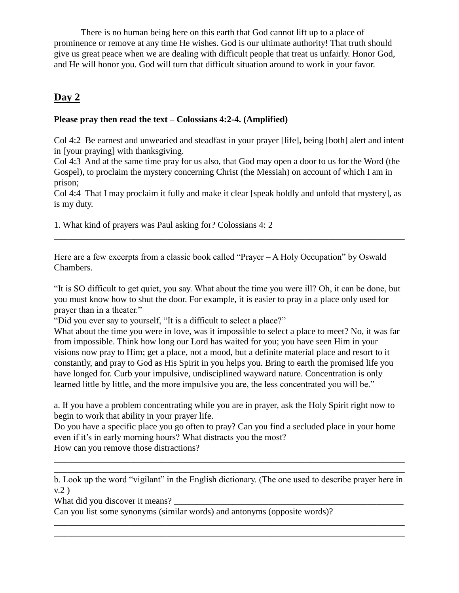There is no human being here on this earth that God cannot lift up to a place of prominence or remove at any time He wishes. God is our ultimate authority! That truth should give us great peace when we are dealing with difficult people that treat us unfairly. Honor God, and He will honor you. God will turn that difficult situation around to work in your favor.

# **Day 2**

#### **Please pray then read the text – Colossians 4:2-4. (Amplified)**

Col 4:2 Be earnest and unwearied and steadfast in your prayer [life], being [both] alert and intent in [your praying] with thanksgiving.

Col 4:3 And at the same time pray for us also, that God may open a door to us for the Word (the Gospel), to proclaim the mystery concerning Christ (the Messiah) on account of which I am in prison;

Col 4:4 That I may proclaim it fully and make it clear [speak boldly and unfold that mystery], as is my duty.

\_\_\_\_\_\_\_\_\_\_\_\_\_\_\_\_\_\_\_\_\_\_\_\_\_\_\_\_\_\_\_\_\_\_\_\_\_\_\_\_\_\_\_\_\_\_\_\_\_\_\_\_\_\_\_\_\_\_\_\_\_\_\_\_\_\_\_\_\_\_\_\_\_\_\_\_\_\_

1. What kind of prayers was Paul asking for? Colossians 4: 2

Here are a few excerpts from a classic book called "Prayer – A Holy Occupation" by Oswald Chambers.

"It is SO difficult to get quiet, you say. What about the time you were ill? Oh, it can be done, but you must know how to shut the door. For example, it is easier to pray in a place only used for prayer than in a theater."

"Did you ever say to yourself, "It is a difficult to select a place?"

What about the time you were in love, was it impossible to select a place to meet? No, it was far from impossible. Think how long our Lord has waited for you; you have seen Him in your visions now pray to Him; get a place, not a mood, but a definite material place and resort to it constantly, and pray to God as His Spirit in you helps you. Bring to earth the promised life you have longed for. Curb your impulsive, undisciplined wayward nature. Concentration is only learned little by little, and the more impulsive you are, the less concentrated you will be."

a. If you have a problem concentrating while you are in prayer, ask the Holy Spirit right now to begin to work that ability in your prayer life.

Do you have a specific place you go often to pray? Can you find a secluded place in your home even if it's in early morning hours? What distracts you the most? How can you remove those distractions?

b. Look up the word "vigilant" in the English dictionary. (The one used to describe prayer here in v.2 )

\_\_\_\_\_\_\_\_\_\_\_\_\_\_\_\_\_\_\_\_\_\_\_\_\_\_\_\_\_\_\_\_\_\_\_\_\_\_\_\_\_\_\_\_\_\_\_\_\_\_\_\_\_\_\_\_\_\_\_\_\_\_\_\_\_\_\_\_\_\_\_\_\_\_\_\_\_\_ \_\_\_\_\_\_\_\_\_\_\_\_\_\_\_\_\_\_\_\_\_\_\_\_\_\_\_\_\_\_\_\_\_\_\_\_\_\_\_\_\_\_\_\_\_\_\_\_\_\_\_\_\_\_\_\_\_\_\_\_\_\_\_\_\_\_\_\_\_\_\_\_\_\_\_\_\_\_

\_\_\_\_\_\_\_\_\_\_\_\_\_\_\_\_\_\_\_\_\_\_\_\_\_\_\_\_\_\_\_\_\_\_\_\_\_\_\_\_\_\_\_\_\_\_\_\_\_\_\_\_\_\_\_\_\_\_\_\_\_\_\_\_\_\_\_\_\_\_\_\_\_\_\_\_\_\_ \_\_\_\_\_\_\_\_\_\_\_\_\_\_\_\_\_\_\_\_\_\_\_\_\_\_\_\_\_\_\_\_\_\_\_\_\_\_\_\_\_\_\_\_\_\_\_\_\_\_\_\_\_\_\_\_\_\_\_\_\_\_\_\_\_\_\_\_\_\_\_\_\_\_\_\_\_\_

What did you discover it means?

Can you list some synonyms (similar words) and antonyms (opposite words)?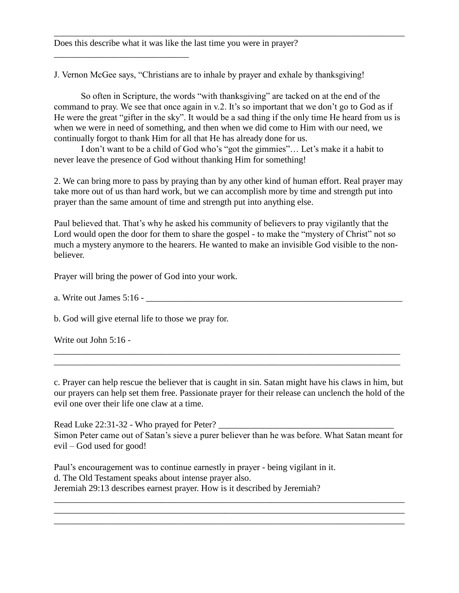Does this describe what it was like the last time you were in prayer?

\_\_\_\_\_\_\_\_\_\_\_\_\_\_\_\_\_\_\_\_\_\_\_\_\_\_\_\_\_\_

J. Vernon McGee says, "Christians are to inhale by prayer and exhale by thanksgiving!

So often in Scripture, the words "with thanksgiving" are tacked on at the end of the command to pray. We see that once again in v.2. It's so important that we don't go to God as if He were the great "gifter in the sky". It would be a sad thing if the only time He heard from us is when we were in need of something, and then when we did come to Him with our need, we continually forgot to thank Him for all that He has already done for us.

\_\_\_\_\_\_\_\_\_\_\_\_\_\_\_\_\_\_\_\_\_\_\_\_\_\_\_\_\_\_\_\_\_\_\_\_\_\_\_\_\_\_\_\_\_\_\_\_\_\_\_\_\_\_\_\_\_\_\_\_\_\_\_\_\_\_\_\_\_\_\_\_\_\_\_\_\_\_

I don't want to be a child of God who's "got the gimmies"… Let's make it a habit to never leave the presence of God without thanking Him for something!

2. We can bring more to pass by praying than by any other kind of human effort. Real prayer may take more out of us than hard work, but we can accomplish more by time and strength put into prayer than the same amount of time and strength put into anything else.

Paul believed that. That's why he asked his community of believers to pray vigilantly that the Lord would open the door for them to share the gospel - to make the "mystery of Christ" not so much a mystery anymore to the hearers. He wanted to make an invisible God visible to the nonbeliever.

Prayer will bring the power of God into your work.

a. Write out James 5:16 - \_

b. God will give eternal life to those we pray for.

Write out John 5:16 -

c. Prayer can help rescue the believer that is caught in sin. Satan might have his claws in him, but our prayers can help set them free. Passionate prayer for their release can unclench the hold of the evil one over their life one claw at a time.

\_\_\_\_\_\_\_\_\_\_\_\_\_\_\_\_\_\_\_\_\_\_\_\_\_\_\_\_\_\_\_\_\_\_\_\_\_\_\_\_\_\_\_\_\_\_\_\_\_\_\_\_\_\_\_\_\_\_\_\_\_\_\_\_\_\_\_\_\_\_\_\_\_\_\_\_\_ \_\_\_\_\_\_\_\_\_\_\_\_\_\_\_\_\_\_\_\_\_\_\_\_\_\_\_\_\_\_\_\_\_\_\_\_\_\_\_\_\_\_\_\_\_\_\_\_\_\_\_\_\_\_\_\_\_\_\_\_\_\_\_\_\_\_\_\_\_\_\_\_\_\_\_\_\_

Read Luke 22:31-32 - Who prayed for Peter? Simon Peter came out of Satan's sieve a purer believer than he was before. What Satan meant for evil – God used for good!

\_\_\_\_\_\_\_\_\_\_\_\_\_\_\_\_\_\_\_\_\_\_\_\_\_\_\_\_\_\_\_\_\_\_\_\_\_\_\_\_\_\_\_\_\_\_\_\_\_\_\_\_\_\_\_\_\_\_\_\_\_\_\_\_\_\_\_\_\_\_\_\_\_\_\_\_\_\_ \_\_\_\_\_\_\_\_\_\_\_\_\_\_\_\_\_\_\_\_\_\_\_\_\_\_\_\_\_\_\_\_\_\_\_\_\_\_\_\_\_\_\_\_\_\_\_\_\_\_\_\_\_\_\_\_\_\_\_\_\_\_\_\_\_\_\_\_\_\_\_\_\_\_\_\_\_\_ \_\_\_\_\_\_\_\_\_\_\_\_\_\_\_\_\_\_\_\_\_\_\_\_\_\_\_\_\_\_\_\_\_\_\_\_\_\_\_\_\_\_\_\_\_\_\_\_\_\_\_\_\_\_\_\_\_\_\_\_\_\_\_\_\_\_\_\_\_\_\_\_\_\_\_\_\_\_

Paul's encouragement was to continue earnestly in prayer - being vigilant in it. d. The Old Testament speaks about intense prayer also. Jeremiah 29:13 describes earnest prayer. How is it described by Jeremiah?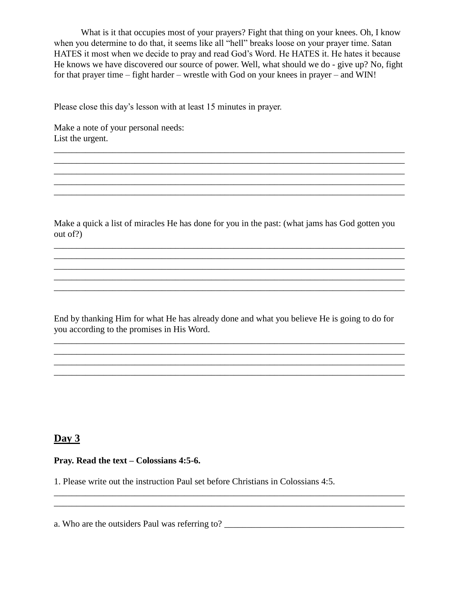What is it that occupies most of your prayers? Fight that thing on your knees. Oh, I know when you determine to do that, it seems like all "hell" breaks loose on your prayer time. Satan HATES it most when we decide to pray and read God's Word. He HATES it. He hates it because He knows we have discovered our source of power. Well, what should we do - give up? No, fight for that prayer time – fight harder – wrestle with God on your knees in prayer – and WIN!

\_\_\_\_\_\_\_\_\_\_\_\_\_\_\_\_\_\_\_\_\_\_\_\_\_\_\_\_\_\_\_\_\_\_\_\_\_\_\_\_\_\_\_\_\_\_\_\_\_\_\_\_\_\_\_\_\_\_\_\_\_\_\_\_\_\_\_\_\_\_\_\_\_\_\_\_\_\_ \_\_\_\_\_\_\_\_\_\_\_\_\_\_\_\_\_\_\_\_\_\_\_\_\_\_\_\_\_\_\_\_\_\_\_\_\_\_\_\_\_\_\_\_\_\_\_\_\_\_\_\_\_\_\_\_\_\_\_\_\_\_\_\_\_\_\_\_\_\_\_\_\_\_\_\_\_\_ \_\_\_\_\_\_\_\_\_\_\_\_\_\_\_\_\_\_\_\_\_\_\_\_\_\_\_\_\_\_\_\_\_\_\_\_\_\_\_\_\_\_\_\_\_\_\_\_\_\_\_\_\_\_\_\_\_\_\_\_\_\_\_\_\_\_\_\_\_\_\_\_\_\_\_\_\_\_

\_\_\_\_\_\_\_\_\_\_\_\_\_\_\_\_\_\_\_\_\_\_\_\_\_\_\_\_\_\_\_\_\_\_\_\_\_\_\_\_\_\_\_\_\_\_\_\_\_\_\_\_\_\_\_\_\_\_\_\_\_\_\_\_\_\_\_\_\_\_\_\_\_\_\_\_\_\_

Please close this day's lesson with at least 15 minutes in prayer.

Make a note of your personal needs: List the urgent.

Make a quick a list of miracles He has done for you in the past: (what jams has God gotten you out of?)

\_\_\_\_\_\_\_\_\_\_\_\_\_\_\_\_\_\_\_\_\_\_\_\_\_\_\_\_\_\_\_\_\_\_\_\_\_\_\_\_\_\_\_\_\_\_\_\_\_\_\_\_\_\_\_\_\_\_\_\_\_\_\_\_\_\_\_\_\_\_\_\_\_\_\_\_\_\_ \_\_\_\_\_\_\_\_\_\_\_\_\_\_\_\_\_\_\_\_\_\_\_\_\_\_\_\_\_\_\_\_\_\_\_\_\_\_\_\_\_\_\_\_\_\_\_\_\_\_\_\_\_\_\_\_\_\_\_\_\_\_\_\_\_\_\_\_\_\_\_\_\_\_\_\_\_\_ \_\_\_\_\_\_\_\_\_\_\_\_\_\_\_\_\_\_\_\_\_\_\_\_\_\_\_\_\_\_\_\_\_\_\_\_\_\_\_\_\_\_\_\_\_\_\_\_\_\_\_\_\_\_\_\_\_\_\_\_\_\_\_\_\_\_\_\_\_\_\_\_\_\_\_\_\_\_

\_\_\_\_\_\_\_\_\_\_\_\_\_\_\_\_\_\_\_\_\_\_\_\_\_\_\_\_\_\_\_\_\_\_\_\_\_\_\_\_\_\_\_\_\_\_\_\_\_\_\_\_\_\_\_\_\_\_\_\_\_\_\_\_\_\_\_\_\_\_\_\_\_\_\_\_\_\_

End by thanking Him for what He has already done and what you believe He is going to do for you according to the promises in His Word.

\_\_\_\_\_\_\_\_\_\_\_\_\_\_\_\_\_\_\_\_\_\_\_\_\_\_\_\_\_\_\_\_\_\_\_\_\_\_\_\_\_\_\_\_\_\_\_\_\_\_\_\_\_\_\_\_\_\_\_\_\_\_\_\_\_\_\_\_\_\_\_\_\_\_\_\_\_\_ \_\_\_\_\_\_\_\_\_\_\_\_\_\_\_\_\_\_\_\_\_\_\_\_\_\_\_\_\_\_\_\_\_\_\_\_\_\_\_\_\_\_\_\_\_\_\_\_\_\_\_\_\_\_\_\_\_\_\_\_\_\_\_\_\_\_\_\_\_\_\_\_\_\_\_\_\_\_

\_\_\_\_\_\_\_\_\_\_\_\_\_\_\_\_\_\_\_\_\_\_\_\_\_\_\_\_\_\_\_\_\_\_\_\_\_\_\_\_\_\_\_\_\_\_\_\_\_\_\_\_\_\_\_\_\_\_\_\_\_\_\_\_\_\_\_\_\_\_\_\_\_\_\_\_\_\_

 $\mathcal{L}_\mathcal{L} = \{ \mathcal{L}_\mathcal{L} = \{ \mathcal{L}_\mathcal{L} = \{ \mathcal{L}_\mathcal{L} = \{ \mathcal{L}_\mathcal{L} = \{ \mathcal{L}_\mathcal{L} = \{ \mathcal{L}_\mathcal{L} = \{ \mathcal{L}_\mathcal{L} = \{ \mathcal{L}_\mathcal{L} = \{ \mathcal{L}_\mathcal{L} = \{ \mathcal{L}_\mathcal{L} = \{ \mathcal{L}_\mathcal{L} = \{ \mathcal{L}_\mathcal{L} = \{ \mathcal{L}_\mathcal{L} = \{ \mathcal{L}_\mathcal{$ \_\_\_\_\_\_\_\_\_\_\_\_\_\_\_\_\_\_\_\_\_\_\_\_\_\_\_\_\_\_\_\_\_\_\_\_\_\_\_\_\_\_\_\_\_\_\_\_\_\_\_\_\_\_\_\_\_\_\_\_\_\_\_\_\_\_\_\_\_\_\_\_\_\_\_\_\_\_

## **Day 3**

**Pray. Read the text – Colossians 4:5-6.**

1. Please write out the instruction Paul set before Christians in Colossians 4:5.

a. Who are the outsiders Paul was referring to? \_\_\_\_\_\_\_\_\_\_\_\_\_\_\_\_\_\_\_\_\_\_\_\_\_\_\_\_\_\_\_\_\_\_\_\_\_\_\_\_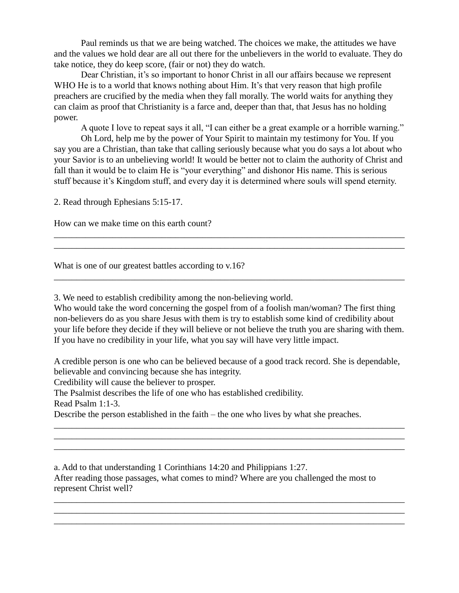Paul reminds us that we are being watched. The choices we make, the attitudes we have and the values we hold dear are all out there for the unbelievers in the world to evaluate. They do take notice, they do keep score, (fair or not) they do watch.

Dear Christian, it's so important to honor Christ in all our affairs because we represent WHO He is to a world that knows nothing about Him. It's that very reason that high profile preachers are crucified by the media when they fall morally. The world waits for anything they can claim as proof that Christianity is a farce and, deeper than that, that Jesus has no holding power.

A quote I love to repeat says it all, "I can either be a great example or a horrible warning."

Oh Lord, help me by the power of Your Spirit to maintain my testimony for You. If you say you are a Christian, than take that calling seriously because what you do says a lot about who your Savior is to an unbelieving world! It would be better not to claim the authority of Christ and fall than it would be to claim He is "your everything" and dishonor His name. This is serious stuff because it's Kingdom stuff, and every day it is determined where souls will spend eternity.

\_\_\_\_\_\_\_\_\_\_\_\_\_\_\_\_\_\_\_\_\_\_\_\_\_\_\_\_\_\_\_\_\_\_\_\_\_\_\_\_\_\_\_\_\_\_\_\_\_\_\_\_\_\_\_\_\_\_\_\_\_\_\_\_\_\_\_\_\_\_\_\_\_\_\_\_\_\_ \_\_\_\_\_\_\_\_\_\_\_\_\_\_\_\_\_\_\_\_\_\_\_\_\_\_\_\_\_\_\_\_\_\_\_\_\_\_\_\_\_\_\_\_\_\_\_\_\_\_\_\_\_\_\_\_\_\_\_\_\_\_\_\_\_\_\_\_\_\_\_\_\_\_\_\_\_\_

\_\_\_\_\_\_\_\_\_\_\_\_\_\_\_\_\_\_\_\_\_\_\_\_\_\_\_\_\_\_\_\_\_\_\_\_\_\_\_\_\_\_\_\_\_\_\_\_\_\_\_\_\_\_\_\_\_\_\_\_\_\_\_\_\_\_\_\_\_\_\_\_\_\_\_\_\_\_

2. Read through Ephesians 5:15-17.

How can we make time on this earth count?

What is one of our greatest battles according to v.16?

3. We need to establish credibility among the non-believing world.

Who would take the word concerning the gospel from of a foolish man/woman? The first thing non-believers do as you share Jesus with them is try to establish some kind of credibility about your life before they decide if they will believe or not believe the truth you are sharing with them. If you have no credibility in your life, what you say will have very little impact.

A credible person is one who can be believed because of a good track record. She is dependable, believable and convincing because she has integrity.

\_\_\_\_\_\_\_\_\_\_\_\_\_\_\_\_\_\_\_\_\_\_\_\_\_\_\_\_\_\_\_\_\_\_\_\_\_\_\_\_\_\_\_\_\_\_\_\_\_\_\_\_\_\_\_\_\_\_\_\_\_\_\_\_\_\_\_\_\_\_\_\_\_\_\_\_\_\_ \_\_\_\_\_\_\_\_\_\_\_\_\_\_\_\_\_\_\_\_\_\_\_\_\_\_\_\_\_\_\_\_\_\_\_\_\_\_\_\_\_\_\_\_\_\_\_\_\_\_\_\_\_\_\_\_\_\_\_\_\_\_\_\_\_\_\_\_\_\_\_\_\_\_\_\_\_\_ \_\_\_\_\_\_\_\_\_\_\_\_\_\_\_\_\_\_\_\_\_\_\_\_\_\_\_\_\_\_\_\_\_\_\_\_\_\_\_\_\_\_\_\_\_\_\_\_\_\_\_\_\_\_\_\_\_\_\_\_\_\_\_\_\_\_\_\_\_\_\_\_\_\_\_\_\_\_

\_\_\_\_\_\_\_\_\_\_\_\_\_\_\_\_\_\_\_\_\_\_\_\_\_\_\_\_\_\_\_\_\_\_\_\_\_\_\_\_\_\_\_\_\_\_\_\_\_\_\_\_\_\_\_\_\_\_\_\_\_\_\_\_\_\_\_\_\_\_\_\_\_\_\_\_\_\_ \_\_\_\_\_\_\_\_\_\_\_\_\_\_\_\_\_\_\_\_\_\_\_\_\_\_\_\_\_\_\_\_\_\_\_\_\_\_\_\_\_\_\_\_\_\_\_\_\_\_\_\_\_\_\_\_\_\_\_\_\_\_\_\_\_\_\_\_\_\_\_\_\_\_\_\_\_\_ \_\_\_\_\_\_\_\_\_\_\_\_\_\_\_\_\_\_\_\_\_\_\_\_\_\_\_\_\_\_\_\_\_\_\_\_\_\_\_\_\_\_\_\_\_\_\_\_\_\_\_\_\_\_\_\_\_\_\_\_\_\_\_\_\_\_\_\_\_\_\_\_\_\_\_\_\_\_

Credibility will cause the believer to prosper.

The Psalmist describes the life of one who has established credibility.

Read Psalm 1:1-3.

Describe the person established in the faith – the one who lives by what she preaches.

a. Add to that understanding 1 Corinthians 14:20 and Philippians 1:27. After reading those passages, what comes to mind? Where are you challenged the most to represent Christ well?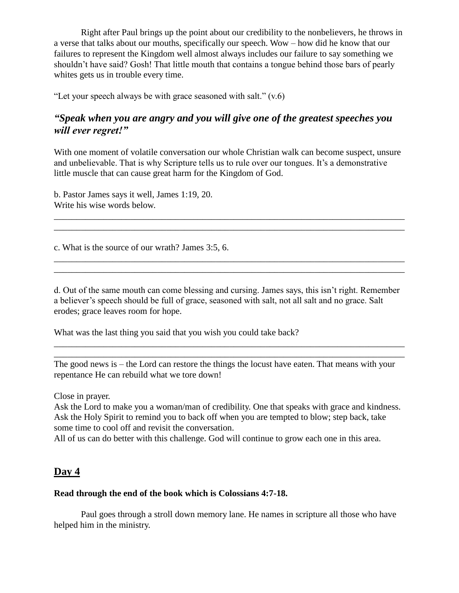Right after Paul brings up the point about our credibility to the nonbelievers, he throws in a verse that talks about our mouths, specifically our speech. Wow – how did he know that our failures to represent the Kingdom well almost always includes our failure to say something we shouldn't have said? Gosh! That little mouth that contains a tongue behind those bars of pearly whites gets us in trouble every time.

"Let your speech always be with grace seasoned with salt."  $(v.6)$ 

## *"Speak when you are angry and you will give one of the greatest speeches you will ever regret!"*

With one moment of volatile conversation our whole Christian walk can become suspect, unsure and unbelievable. That is why Scripture tells us to rule over our tongues. It's a demonstrative little muscle that can cause great harm for the Kingdom of God.

\_\_\_\_\_\_\_\_\_\_\_\_\_\_\_\_\_\_\_\_\_\_\_\_\_\_\_\_\_\_\_\_\_\_\_\_\_\_\_\_\_\_\_\_\_\_\_\_\_\_\_\_\_\_\_\_\_\_\_\_\_\_\_\_\_\_\_\_\_\_\_\_\_\_\_\_\_\_ \_\_\_\_\_\_\_\_\_\_\_\_\_\_\_\_\_\_\_\_\_\_\_\_\_\_\_\_\_\_\_\_\_\_\_\_\_\_\_\_\_\_\_\_\_\_\_\_\_\_\_\_\_\_\_\_\_\_\_\_\_\_\_\_\_\_\_\_\_\_\_\_\_\_\_\_\_\_

\_\_\_\_\_\_\_\_\_\_\_\_\_\_\_\_\_\_\_\_\_\_\_\_\_\_\_\_\_\_\_\_\_\_\_\_\_\_\_\_\_\_\_\_\_\_\_\_\_\_\_\_\_\_\_\_\_\_\_\_\_\_\_\_\_\_\_\_\_\_\_\_\_\_\_\_\_\_ \_\_\_\_\_\_\_\_\_\_\_\_\_\_\_\_\_\_\_\_\_\_\_\_\_\_\_\_\_\_\_\_\_\_\_\_\_\_\_\_\_\_\_\_\_\_\_\_\_\_\_\_\_\_\_\_\_\_\_\_\_\_\_\_\_\_\_\_\_\_\_\_\_\_\_\_\_\_

b. Pastor James says it well, James 1:19, 20. Write his wise words below.

c. What is the source of our wrath? James 3:5, 6.

d. Out of the same mouth can come blessing and cursing. James says, this isn't right. Remember a believer's speech should be full of grace, seasoned with salt, not all salt and no grace. Salt erodes; grace leaves room for hope.

What was the last thing you said that you wish you could take back?

The good news is – the Lord can restore the things the locust have eaten. That means with your repentance He can rebuild what we tore down!

\_\_\_\_\_\_\_\_\_\_\_\_\_\_\_\_\_\_\_\_\_\_\_\_\_\_\_\_\_\_\_\_\_\_\_\_\_\_\_\_\_\_\_\_\_\_\_\_\_\_\_\_\_\_\_\_\_\_\_\_\_\_\_\_\_\_\_\_\_\_\_\_\_\_\_\_\_\_

Close in prayer.

Ask the Lord to make you a woman/man of credibility. One that speaks with grace and kindness. Ask the Holy Spirit to remind you to back off when you are tempted to blow; step back, take some time to cool off and revisit the conversation.

All of us can do better with this challenge. God will continue to grow each one in this area.

## **Day 4**

#### **Read through the end of the book which is Colossians 4:7-18.**

Paul goes through a stroll down memory lane. He names in scripture all those who have helped him in the ministry.